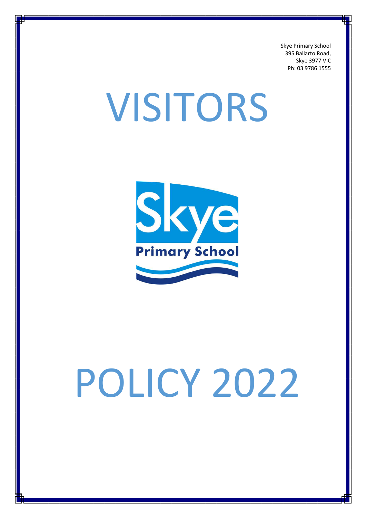Skye Primary School 395 Ballarto Road, Skye 3977 VIC Ph: 03 9786 1555

# VISITORS



# POLICY 2022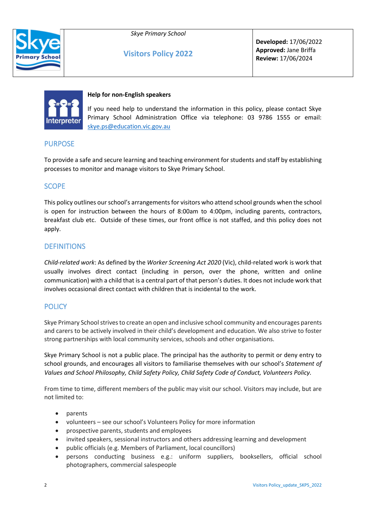

#### *Skye Primary School*

**Visitors Policy 2022**

**Developed:** 17/06/2022 **Approved:** Jane Briffa **Review:** 17/06/2024



#### **Help for non-English speakers**

If you need help to understand the information in this policy, please contact Skye Primary School Administration Office via telephone: 03 9786 1555 or email: [skye.ps@education.vic.gov.au](mailto:skye.ps@education.vic.gov.au)

# PURPOSE

To provide a safe and secure learning and teaching environment for students and staff by establishing processes to monitor and manage visitors to Skye Primary School.

# **SCOPE**

This policy outlines our school's arrangements for visitors who attend school grounds when the school is open for instruction between the hours of 8:00am to 4:00pm, including parents, contractors, breakfast club etc. Outside of these times, our front office is not staffed, and this policy does not apply.

# **DEFINITIONS**

*Child-related work*: As defined by the *Worker Screening Act 2020* (Vic), child-related work is work that usually involves direct contact (including in person, over the phone, written and online communication) with a child that is a central part of that person's duties. It does not include work that involves occasional direct contact with children that is incidental to the work.

# **POLICY**

Skye Primary School strives to create an open and inclusive school community and encourages parents and carers to be actively involved in their child's development and education. We also strive to foster strong partnerships with local community services, schools and other organisations.

Skye Primary School is not a public place. The principal has the authority to permit or deny entry to school grounds, and encourages all visitors to familiarise themselves with our school's *Statement of Values and School Philosophy, Child Safety Policy, Child Safety Code of Conduct, Volunteers Policy.* 

From time to time, different members of the public may visit our school. Visitors may include, but are not limited to:

- parents
- volunteers see our school's Volunteers Policy for more information
- prospective parents, students and employees
- invited speakers, sessional instructors and others addressing learning and development
- public officials (e.g. Members of Parliament, local councillors)
- persons conducting business e.g.: uniform suppliers, booksellers, official school photographers, commercial salespeople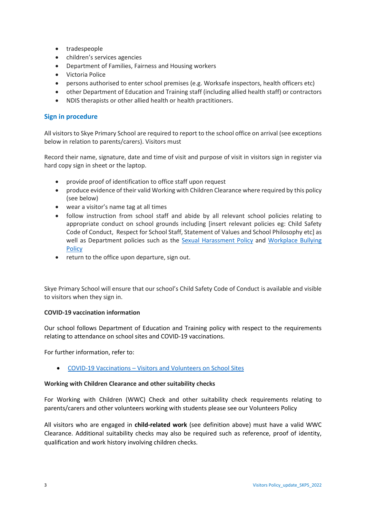- tradespeople
- children's services agencies
- Department of Families, Fairness and Housing workers
- Victoria Police
- persons authorised to enter school premises (e.g. Worksafe inspectors, health officers etc)
- other Department of Education and Training staff (including allied health staff) or contractors
- NDIS therapists or other allied health or health practitioners.

#### **Sign in procedure**

All visitors to Skye Primary School are required to report to the school office on arrival (see exceptions below in relation to parents/carers). Visitors must

Record their name, signature, date and time of visit and purpose of visit in visitors sign in register via hard copy sign in sheet or the laptop.

- provide proof of identification to office staff upon request
- produce evidence of their valid Working with Children Clearance where required by this policy (see below)
- wear a visitor's name tag at all times
- follow instruction from school staff and abide by all relevant school policies relating to appropriate conduct on school grounds including [insert relevant policies eg: Child Safety Code of Conduct, Respect for School Staff, Statement of Values and School Philosophy etc] as well as Department policies such as the [Sexual Harassment Policy](https://www2.education.vic.gov.au/pal/sexual-harassment/overview) and Workplace Bullying [Policy](https://www2.education.vic.gov.au/pal/workplace-bullying/policy)
- return to the office upon departure, sign out.

Skye Primary School will ensure that our school's Child Safety Code of Conduct is available and visible to visitors when they sign in.

#### **COVID-19 vaccination information**

Our school follows Department of Education and Training policy with respect to the requirements relating to attendance on school sites and COVID-19 vaccinations.

For further information, refer to:

• COVID-19 Vaccinations – [Visitors and Volunteers on School Sites](https://www2.education.vic.gov.au/pal/covid-19-vaccinations-visitors-volunteers/policy)

#### **Working with Children Clearance and other suitability checks**

For Working with Children (WWC) Check and other suitability check requirements relating to parents/carers and other volunteers working with students please see our Volunteers Policy

All visitors who are engaged in **child-related work** (see definition above) must have a valid WWC Clearance. Additional suitability checks may also be required such as reference, proof of identity, qualification and work history involving children checks.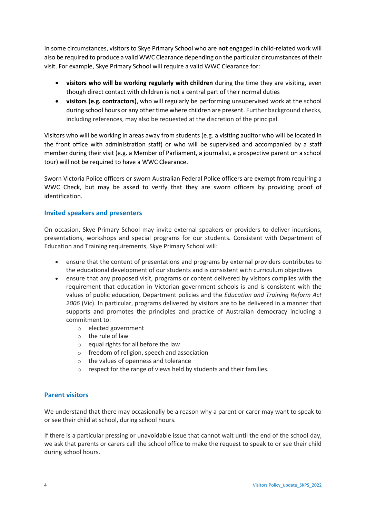In some circumstances, visitors to Skye Primary School who are **not** engaged in child-related work will also be required to produce a valid WWC Clearance depending on the particular circumstances of their visit. For example, Skye Primary School will require a valid WWC Clearance for:

- **visitors who will be working regularly with children** during the time they are visiting, even though direct contact with children is not a central part of their normal duties
- **visitors (e.g. contractors)**, who will regularly be performing unsupervised work at the school during school hours or any other time where children are present. Further background checks, including references, may also be requested at the discretion of the principal.

Visitors who will be working in areas away from students (e.g. a visiting auditor who will be located in the front office with administration staff) or who will be supervised and accompanied by a staff member during their visit (e.g. a Member of Parliament, a journalist, a prospective parent on a school tour) will not be required to have a WWC Clearance.

Sworn Victoria Police officers or sworn Australian Federal Police officers are exempt from requiring a WWC Check, but may be asked to verify that they are sworn officers by providing proof of identification.

# **Invited speakers and presenters**

On occasion, Skye Primary School may invite external speakers or providers to deliver incursions, presentations, workshops and special programs for our students. Consistent with Department of Education and Training requirements, Skye Primary School will:

- ensure that the content of presentations and programs by external providers contributes to the educational development of our students and is consistent with curriculum objectives
- ensure that any proposed visit, programs or content delivered by visitors complies with the requirement that education in Victorian government schools is and is consistent with the values of public education, Department policies and the *Education and Training Reform Act 2006* (Vic). In particular, programs delivered by visitors are to be delivered in a manner that supports and promotes the principles and practice of Australian democracy including a commitment to:
	- o elected government
	- o the rule of law
	- o equal rights for all before the law
	- o freedom of religion, speech and association
	- o the values of openness and tolerance
	- o respect for the range of views held by students and their families.

# **Parent visitors**

We understand that there may occasionally be a reason why a parent or carer may want to speak to or see their child at school, during school hours.

If there is a particular pressing or unavoidable issue that cannot wait until the end of the school day, we ask that parents or carers call the school office to make the request to speak to or see their child during school hours.